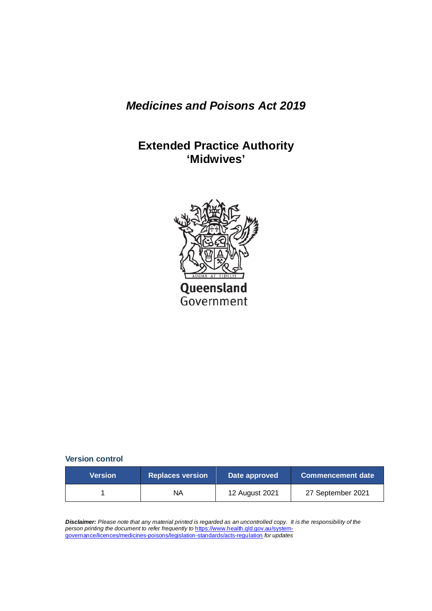## *Medicines and Poisons Act 2019*

# **Extended Practice Authority 'Midwives'**



Government

**Version control** 

| <b>Version</b> | Replaces version | Date approved  | <b>Commencement date</b> |
|----------------|------------------|----------------|--------------------------|
|                | ΝA               | 12 August 2021 | 27 September 2021        |

*Disclaimer: Please note that any material printed is regarded as an uncontrolled copy. It is the responsibility of the person printing the document to refer frequently to* [https://www.health.qld.gov.au/system](https://www.health.qld.gov.au/system-governance/licences/medicines-poisons/legislation-standards/acts-regulation)[governance/licences/medicines-poisons/legislation-standards/acts-regulation](https://www.health.qld.gov.au/system-governance/licences/medicines-poisons/legislation-standards/acts-regulation) *for updates*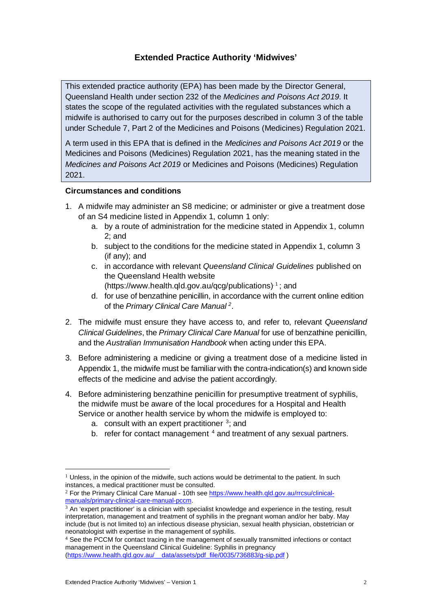#### **Extended Practice Authority 'Midwives'**

This extended practice authority (EPA) has been made by the Director General, Queensland Health under section 232 of the *Medicines and Poisons Act 2019*. It states the scope of the regulated activities with the regulated substances which a midwife is authorised to carry out for the purposes described in column 3 of the table under Schedule 7, Part 2 of the Medicines and Poisons (Medicines) Regulation 2021.

A term used in this EPA that is defined in the *Medicines and Poisons Act 2019* or the Medicines and Poisons (Medicines) Regulation 2021, has the meaning stated in the *Medicines and Poisons Act 2019* or Medicines and Poisons (Medicines) Regulation 2021.

#### **Circumstances and conditions**

- 1. A midwife may administer an S8 medicine; or administer or give a treatment dose of an S4 medicine listed in Appendix 1, column 1 only:
	- a. by a route of administration for the medicine stated in Appendix 1, column 2; and
	- b. subject to the conditions for the medicine stated in Appendix 1, column 3 (if any); and
	- c. in accordance with relevant *Queensland Clinical Guidelines* published on the Queensland Health website

[\(https://www.health.qld.gov.au/qcg/publications\)](https://www.health.qld.gov.au/qcg/publications)<sup>[1](#page-1-0)</sup>; and

- d. for use of benzathine penicillin, in accordance with the current online edition of the *Primary Clinical Care Manual [2](#page-1-1)*.
- 2. The midwife must ensure they have access to, and refer to, relevant *Queensland Clinical Guidelines*, the *Primary Clinical Care Manual* for use of benzathine penicillin, and the *Australian Immunisation Handbook* when acting under this EPA.
- 3. Before administering a medicine or giving a treatment dose of a medicine listed in Appendix 1, the midwife must be familiar with the contra-indication(s) and known side effects of the medicine and advise the patient accordingly.
- 4. Before administering benzathine penicillin for presumptive treatment of syphilis, the midwife must be aware of the local procedures for a Hospital and Health Service or another health service by whom the midwife is employed to:
	- a. consult with an expert practitioner  $3$ ; and
	- b. refer for contact management  $4$  and treatment of any sexual partners.

<span id="page-1-0"></span> $1$  Unless, in the opinion of the midwife, such actions would be detrimental to the patient. In such instances, a medical practitioner must be consulted.

<span id="page-1-1"></span><sup>2</sup> For the Primary Clinical Care Manual - 10th se[e https://www.health.qld.gov.au/rrcsu/clinical](https://www.health.qld.gov.au/rrcsu/clinical-manuals/primary-clinical-care-manual-pccm)[manuals/primary-clinical-care-manual-pccm.](https://www.health.qld.gov.au/rrcsu/clinical-manuals/primary-clinical-care-manual-pccm)

<span id="page-1-2"></span> $3$  An 'expert practitioner' is a clinician with specialist knowledge and experience in the testing, result interpretation, management and treatment of syphilis in the pregnant woman and/or her baby. May include (but is not limited to) an infectious disease physician, sexual health physician, obstetrician or neonatologist with expertise in the management of syphilis.

<span id="page-1-3"></span><sup>4</sup> See the PCCM for contact tracing in the management of sexually transmitted infections or contact management in the Queensland Clinical Guideline: Syphilis in pregnancy [\(https://www.health.qld.gov.au/\\_\\_data/assets/pdf\\_file/0035/736883/g-sip.pdf](https://www.health.qld.gov.au/__data/assets/pdf_file/0035/736883/g-sip.pdf) )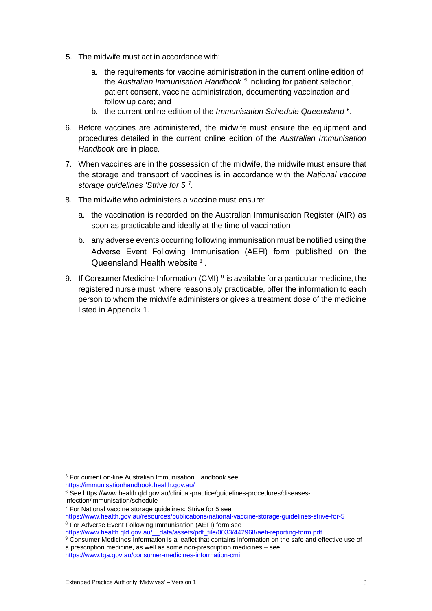- 5. The midwife must act in accordance with:
	- a. the requirements for vaccine administration in the current online edition of the *Australian Immunisation Handbook [5](#page-2-0)* including for patient selection, patient consent, vaccine administration, documenting vaccination and follow up care; and
	- b. the current online edition of the *Immunisation Schedule Queensland* [6](#page-2-1) .
- 6. Before vaccines are administered, the midwife must ensure the equipment and procedures detailed in the current online edition of the *Australian Immunisation Handbook* are in place.
- 7. When vaccines are in the possession of the midwife, the midwife must ensure that the storage and transport of vaccines is in accordance with the *National vaccine storage guidelines 'Strive for 5* [7](#page-2-2)*.*
- 8. The midwife who administers a vaccine must ensure:
	- a. the vaccination is recorded on the [Australian Immunisation Register \(AIR\)](https://www.servicesaustralia.gov.au/individuals/services/medicare/australian-immunisation-register) as soon as practicable and ideally at the time of vaccination
	- b. any adverse events occurring following immunisation must be notified using the [Adverse Event Following Immunisation \(AEFI\)](https://www.health.qld.gov.au/clinical-practice/guidelines-procedures/diseases-infection/immunisation/service-providers/adverse-event) form published on the Queensland Health website [8](#page-2-3) .
- 9. I[f Consumer Medicine Information](https://www.tga.gov.au/consumer-medicines-information-cmi) (CMI)  $9$  is available for a particular medicine, the registered nurse must, where reasonably practicable, offer the information to each person to whom the midwife administers or gives a treatment dose of the medicine listed in Appendix 1.

<span id="page-2-0"></span><sup>5</sup> For current on-line Australian Immunisation Handbook see <https://immunisationhandbook.health.gov.au/>

<span id="page-2-1"></span><sup>6</sup> See https://www.health.qld.gov.au/clinical-practice/guidelines-procedures/diseasesinfection/immunisation/schedule

 $7$  For National vaccine storage guidelines: Strive for 5 see

<span id="page-2-3"></span><span id="page-2-2"></span><https://www.health.gov.au/resources/publications/national-vaccine-storage-guidelines-strive-for-5> <sup>8</sup> For Adverse Event Following Immunisation (AEFI) form see

[https://www.health.qld.gov.au/\\_\\_data/assets/pdf\\_file/0033/442968/aefi-reporting-form.pdf](https://www.health.qld.gov.au/__data/assets/pdf_file/0033/442968/aefi-reporting-form.pdf)

<span id="page-2-4"></span><sup>&</sup>lt;sup>9</sup> Consumer Medicines Information is a leaflet that contains information on the safe and effective use of a prescription medicine, as well as some non-prescription medicines – see <https://www.tga.gov.au/consumer-medicines-information-cmi>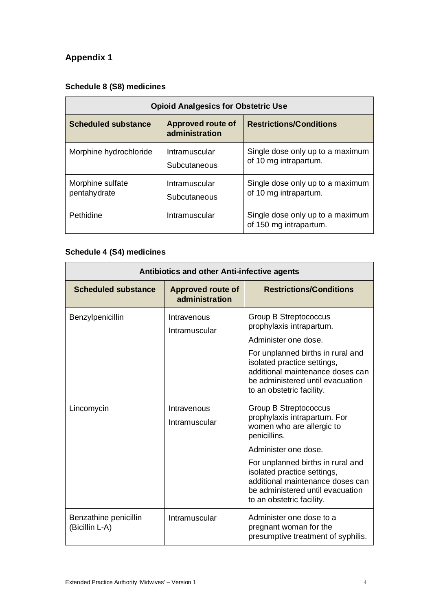# **Appendix 1**

### **Schedule 8 (S8) medicines**

| <b>Opioid Analgesics for Obstetric Use</b> |                                            |                                                            |  |
|--------------------------------------------|--------------------------------------------|------------------------------------------------------------|--|
| <b>Scheduled substance</b>                 | <b>Approved route of</b><br>administration | <b>Restrictions/Conditions</b>                             |  |
| Morphine hydrochloride                     | Intramuscular<br>Subcutaneous              | Single dose only up to a maximum<br>of 10 mg intrapartum.  |  |
| Morphine sulfate<br>pentahydrate           | Intramuscular<br>Subcutaneous              | Single dose only up to a maximum<br>of 10 mg intrapartum.  |  |
| Pethidine                                  | Intramuscular                              | Single dose only up to a maximum<br>of 150 mg intrapartum. |  |

## **Schedule 4 (S4) medicines**

| <b>Antibiotics and other Anti-infective agents</b> |                                            |                                                                                                                                                                                                                                                                                                     |  |
|----------------------------------------------------|--------------------------------------------|-----------------------------------------------------------------------------------------------------------------------------------------------------------------------------------------------------------------------------------------------------------------------------------------------------|--|
| <b>Scheduled substance</b>                         | <b>Approved route of</b><br>administration | <b>Restrictions/Conditions</b>                                                                                                                                                                                                                                                                      |  |
| Benzylpenicillin                                   | Intravenous<br>Intramuscular               | Group B Streptococcus<br>prophylaxis intrapartum.<br>Administer one dose.<br>For unplanned births in rural and<br>isolated practice settings,<br>additional maintenance doses can<br>be administered until evacuation<br>to an obstetric facility.                                                  |  |
| Lincomycin                                         | Intravenous<br>Intramuscular               | Group B Streptococcus<br>prophylaxis intrapartum. For<br>women who are allergic to<br>penicillins.<br>Administer one dose.<br>For unplanned births in rural and<br>isolated practice settings,<br>additional maintenance doses can<br>be administered until evacuation<br>to an obstetric facility. |  |
| Benzathine penicillin<br>(Bicillin L-A)            | Intramuscular                              | Administer one dose to a<br>pregnant woman for the<br>presumptive treatment of syphilis.                                                                                                                                                                                                            |  |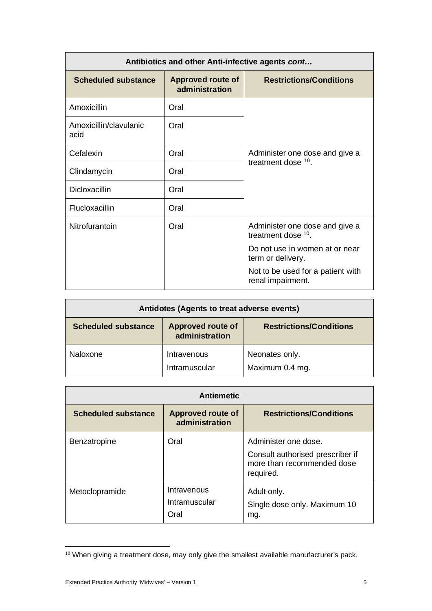| Antibiotics and other Anti-infective agents cont |                                            |                                                         |  |
|--------------------------------------------------|--------------------------------------------|---------------------------------------------------------|--|
| <b>Scheduled substance</b>                       | <b>Approved route of</b><br>administration | <b>Restrictions/Conditions</b>                          |  |
| Amoxicillin                                      | Oral                                       |                                                         |  |
| Amoxicillin/clavulanic<br>acid                   | Oral                                       |                                                         |  |
| Cefalexin                                        | Oral                                       | Administer one dose and give a<br>treatment dose $10$ . |  |
| Clindamycin                                      | Oral                                       |                                                         |  |
| Dicloxacillin                                    | Oral                                       |                                                         |  |
| Flucloxacillin                                   | Oral                                       |                                                         |  |
| Nitrofurantoin                                   | Oral                                       | Administer one dose and give a<br>treatment dose $10$ . |  |
|                                                  |                                            | Do not use in women at or near<br>term or delivery.     |  |
|                                                  |                                            | Not to be used for a patient with<br>renal impairment.  |  |

| Antidotes (Agents to treat adverse events) |                                            |                                   |  |
|--------------------------------------------|--------------------------------------------|-----------------------------------|--|
| <b>Scheduled substance</b>                 | <b>Approved route of</b><br>administration | <b>Restrictions/Conditions</b>    |  |
| Naloxone                                   | Intravenous<br>Intramuscular               | Neonates only.<br>Maximum 0.4 mg. |  |

| <b>Antiemetic</b>          |                                            |                                                                                                     |  |
|----------------------------|--------------------------------------------|-----------------------------------------------------------------------------------------------------|--|
| <b>Scheduled substance</b> | <b>Approved route of</b><br>administration | <b>Restrictions/Conditions</b>                                                                      |  |
| Benzatropine               | Oral                                       | Administer one dose.<br>Consult authorised prescriber if<br>more than recommended dose<br>required. |  |
| Metoclopramide             | Intravenous<br>Intramuscular<br>Oral       | Adult only.<br>Single dose only. Maximum 10<br>mg.                                                  |  |

<span id="page-4-0"></span><sup>&</sup>lt;sup>10</sup> When giving a treatment dose, may only give the smallest available manufacturer's pack.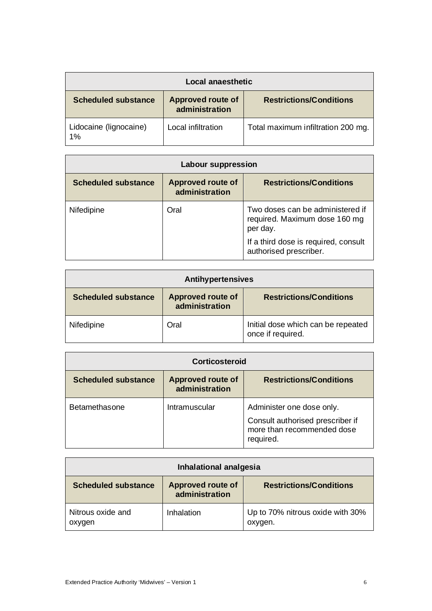| Local anaesthetic            |                                            |                                    |  |
|------------------------------|--------------------------------------------|------------------------------------|--|
| <b>Scheduled substance</b>   | <b>Approved route of</b><br>administration | <b>Restrictions/Conditions</b>     |  |
| Lidocaine (lignocaine)<br>1% | Local infiltration                         | Total maximum infiltration 200 mg. |  |

| <b>Labour suppression</b>  |                                            |                                                                               |  |
|----------------------------|--------------------------------------------|-------------------------------------------------------------------------------|--|
| <b>Scheduled substance</b> | <b>Approved route of</b><br>administration | <b>Restrictions/Conditions</b>                                                |  |
| Nifedipine                 | Oral                                       | Two doses can be administered if<br>required. Maximum dose 160 mg<br>per day. |  |
|                            |                                            | If a third dose is required, consult<br>authorised prescriber.                |  |

| <b>Antihypertensives</b>   |                                            |                                                         |  |
|----------------------------|--------------------------------------------|---------------------------------------------------------|--|
| <b>Scheduled substance</b> | <b>Approved route of</b><br>administration | <b>Restrictions/Conditions</b>                          |  |
| Nifedipine                 | Oral                                       | Initial dose which can be repeated<br>once if required. |  |

| Corticosteroid             |                                            |                                                                                                          |  |
|----------------------------|--------------------------------------------|----------------------------------------------------------------------------------------------------------|--|
| <b>Scheduled substance</b> | <b>Approved route of</b><br>administration | <b>Restrictions/Conditions</b>                                                                           |  |
| Betamethasone              | Intramuscular                              | Administer one dose only.<br>Consult authorised prescriber if<br>more than recommended dose<br>required. |  |

| Inhalational analgesia      |                                            |                                             |  |
|-----------------------------|--------------------------------------------|---------------------------------------------|--|
| <b>Scheduled substance</b>  | <b>Approved route of</b><br>administration | <b>Restrictions/Conditions</b>              |  |
| Nitrous oxide and<br>oxygen | Inhalation                                 | Up to 70% nitrous oxide with 30%<br>oxygen. |  |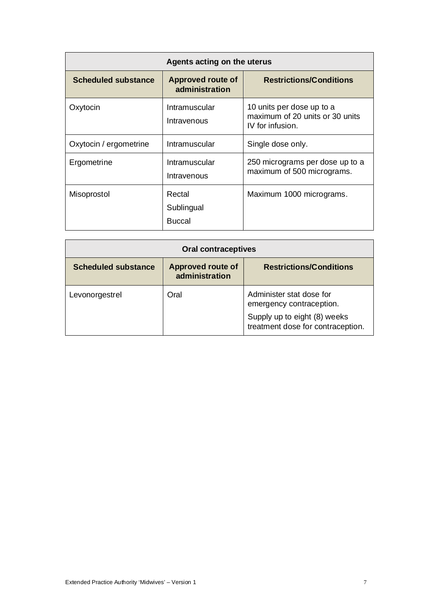| Agents acting on the uterus |                                            |                                                                                  |  |
|-----------------------------|--------------------------------------------|----------------------------------------------------------------------------------|--|
| <b>Scheduled substance</b>  | <b>Approved route of</b><br>administration | <b>Restrictions/Conditions</b>                                                   |  |
| Oxytocin                    | Intramuscular<br>Intravenous               | 10 units per dose up to a<br>maximum of 20 units or 30 units<br>IV for infusion. |  |
| Oxytocin / ergometrine      | Intramuscular                              | Single dose only.                                                                |  |
| Ergometrine                 | Intramuscular<br>Intravenous               | 250 micrograms per dose up to a<br>maximum of 500 micrograms.                    |  |
| Misoprostol                 | Rectal<br>Sublingual<br><b>Buccal</b>      | Maximum 1000 micrograms.                                                         |  |

| <b>Oral contraceptives</b> |                                            |                                                                   |  |
|----------------------------|--------------------------------------------|-------------------------------------------------------------------|--|
| <b>Scheduled substance</b> | <b>Approved route of</b><br>administration | <b>Restrictions/Conditions</b>                                    |  |
| Levonorgestrel             | Oral                                       | Administer stat dose for<br>emergency contraception.              |  |
|                            |                                            | Supply up to eight (8) weeks<br>treatment dose for contraception. |  |